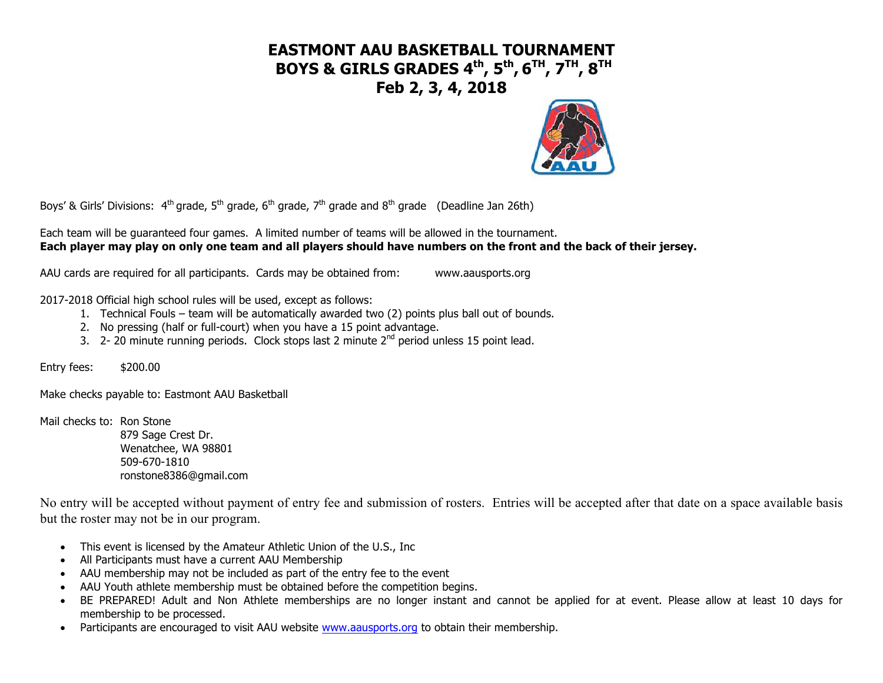# **EASTMONT AAU BASKETBALL TOURNAMENT BOYS & GIRLS GRADES 4th , 5th , 6TH, 7TH, 8TH Feb 2, 3, 4, 2018**



Boys' & Girls' Divisions:  $4^{th}$  grade,  $5^{th}$  grade,  $6^{th}$  grade,  $7^{th}$  grade and  $8^{th}$  grade (Deadline Jan 26th)

Each team will be guaranteed four games. A limited number of teams will be allowed in the tournament. **Each player may play on only one team and all players should have numbers on the front and the back of their jersey.**

AAU cards are required for all participants. Cards may be obtained from: www.aausports.org

2017-2018 Official high school rules will be used, except as follows:

- 1. Technical Fouls team will be automatically awarded two (2) points plus ball out of bounds.
- 2. No pressing (half or full-court) when you have a 15 point advantage.
- 3. 2- 20 minute running periods. Clock stops last 2 minute 2<sup>nd</sup> period unless 15 point lead.

Entry fees: \$200.00

Make checks payable to: Eastmont AAU Basketball

Mail checks to: Ron Stone 879 Sage Crest Dr. Wenatchee, WA 98801 509-670-1810 ronstone8386@gmail.com

No entry will be accepted without payment of entry fee and submission of rosters. Entries will be accepted after that date on a space available basis but the roster may not be in our program.

- This event is licensed by the Amateur Athletic Union of the U.S., Inc
- All Participants must have a current AAU Membership
- AAU membership may not be included as part of the entry fee to the event
- AAU Youth athlete membership must be obtained before the competition begins.
- BE PREPARED! Adult and Non Athlete memberships are no longer instant and cannot be applied for at event. Please allow at least 10 days for membership to be processed.
- Participants are encouraged to visit AAU website www.aausports.org to obtain their membership.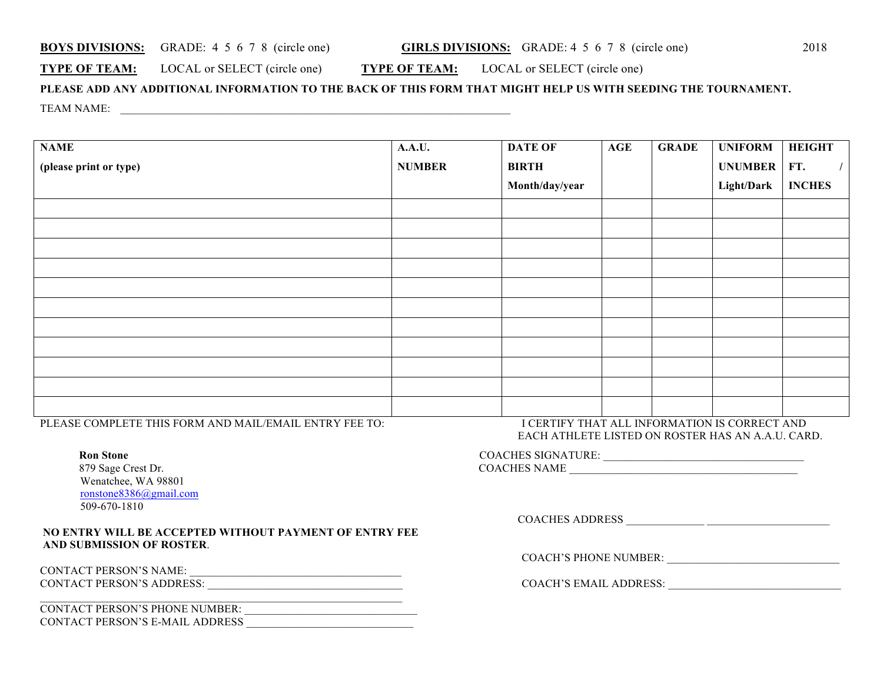#### **BOYS DIVISIONS:** GRADE: 4 5 6 7 8 (circle one) **GIRLS DIVISIONS:** GRADE: 4 5 6 7 8 (circle one) 2018

### **TYPE OF TEAM:** LOCAL or SELECT (circle one) **TYPE OF TEAM:** LOCAL or SELECT (circle one)

## **PLEASE ADD ANY ADDITIONAL INFORMATION TO THE BACK OF THIS FORM THAT MIGHT HELP US WITH SEEDING THE TOURNAMENT.** TEAM NAME:  $\qquad \qquad \qquad$

| <b>NAME</b>            | <b>A.A.U.</b> | <b>DATE OF</b> | <b>AGE</b> | <b>GRADE</b> | <b>UNIFORM</b>    | <b>HEIGHT</b> |
|------------------------|---------------|----------------|------------|--------------|-------------------|---------------|
| (please print or type) | <b>NUMBER</b> | <b>BIRTH</b>   |            |              | UNUMBER   FT.     |               |
|                        |               | Month/day/year |            |              | <b>Light/Dark</b> | <b>INCHES</b> |
|                        |               |                |            |              |                   |               |
|                        |               |                |            |              |                   |               |
|                        |               |                |            |              |                   |               |
|                        |               |                |            |              |                   |               |
|                        |               |                |            |              |                   |               |
|                        |               |                |            |              |                   |               |
|                        |               |                |            |              |                   |               |
|                        |               |                |            |              |                   |               |
|                        |               |                |            |              |                   |               |
|                        |               |                |            |              |                   |               |
|                        |               |                |            |              |                   |               |

PLEASE COMPLETE THIS FORM AND MAIL/EMAIL ENTRY FEE TO: I CERTIFY THAT ALL INFORMATION IS CORRECT AND

879 Sage Crest Dr. Wenatchee, WA 98801 ronstone8386@gmail.com 509-670-1810

#### **NO ENTRY WILL BE ACCEPTED WITHOUT PAYMENT OF ENTRY FEE AND SUBMISSION OF ROSTER**.

CONTACT PERSON'S NAME: \_\_\_\_\_\_\_\_\_\_\_\_\_\_\_\_\_\_\_\_\_\_\_\_\_\_\_\_\_\_\_\_\_\_\_\_\_\_ CONTACT PERSON'S ADDRESS: \_\_\_\_\_\_\_\_\_\_\_\_\_\_\_\_\_\_\_\_\_\_\_\_\_\_\_\_\_\_\_\_\_\_\_ COACH'S EMAIL ADDRESS: \_\_\_\_\_\_\_\_\_\_\_\_\_\_\_\_\_\_\_\_\_\_\_\_\_\_\_\_\_\_\_

| CONTACT PERSON'S PHONE NUMBER:  |  |
|---------------------------------|--|
| CONTACT PERSON'S E-MAIL ADDRESS |  |

 $\mathcal{L}_\text{max} = \frac{1}{2} \sum_{i=1}^n \mathcal{L}_\text{max}(\mathbf{z}_i - \mathbf{z}_i)$ 

EACH ATHLETE LISTED ON ROSTER HAS AN A.A.U. CARD.

| $\overline{\phantom{a}}$    |                                          |
|-----------------------------|------------------------------------------|
| $\sim$                      | <b>ATURE.</b>                            |
| <b>Ron</b>                  | 'OACHES SIGN.                            |
| <b>Stone</b>                | .                                        |
|                             |                                          |
| 879 Sage (<br>`rest<br>. Dr | $. \Gamma \cap \LambdaNAME\simHF\simCOA$ |

COACHES ADDRESS \_\_\_\_\_\_\_\_\_\_\_\_\_\_ \_\_\_\_\_\_\_\_\_\_\_\_\_\_\_\_\_\_\_\_\_\_

COACH'S PHONE NUMBER: \_\_\_\_\_\_\_\_\_\_\_\_\_\_\_\_\_\_\_\_\_\_\_\_\_\_\_\_\_\_\_